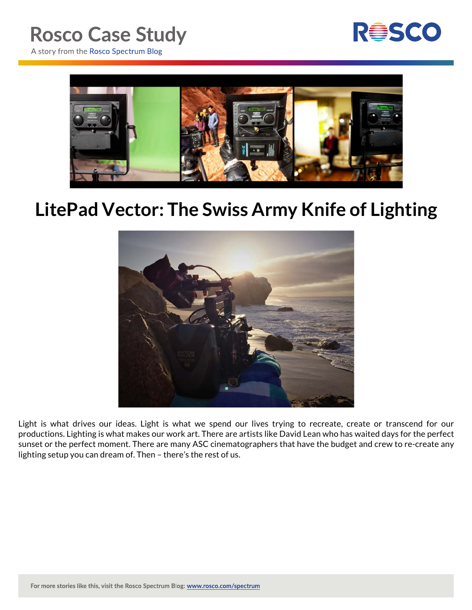

A story from the Rosco Spectrum Blog



## **LitePad Vector: The Swiss Army Knife of Lighting**



Light is what drives our ideas. Light is what we spend our lives trying to recreate, create or transcend for our productions. Lighting is what makes our work art. There are artists like David Lean who has waited days for the perfect sunset or the perfect moment. There are many ASC cinematographers that have the budget and crew to re-create any lighting setup you can dream of. Then – there's the rest of us.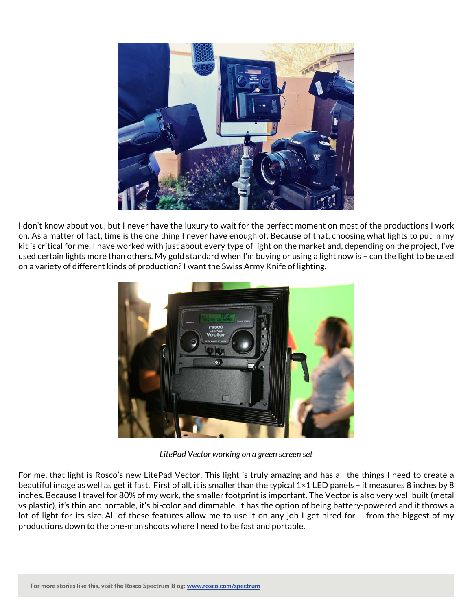

I don't know about you, but I never have the luxury to wait for the perfect moment on most of the productions I work on. As a matter of fact, time is the one thing I never have enough of. Because of that, choosing what lights to put in my kit is critical for me. I have worked with just about every type of light on the market and, depending on the project, I've used certain lights more than others. My gold standard when I'm buying or using a light now is – can the light to be used on a variety of different kinds of production? I want the Swiss Army Knife of lighting.



*LitePad Vector working on a green screen set*

For me, that light is Rosco's new LitePad Vector. This light is truly amazing and has all the things I need to create a beautiful image as well as get it fast. First of all, it is smaller than the typical 1×1 LED panels – it measures 8 inches by 8 inches. Because I travel for 80% of my work, the smaller footprint is important. The Vector is also very well built (metal vs plastic), it's thin and portable, it's bi-color and dimmable, it has the option of being battery-powered and it throws a lot of light for its size. All of these features allow me to use it on any job I get hired for – from the biggest of my productions down to the one-man shoots where I need to be fast and portable.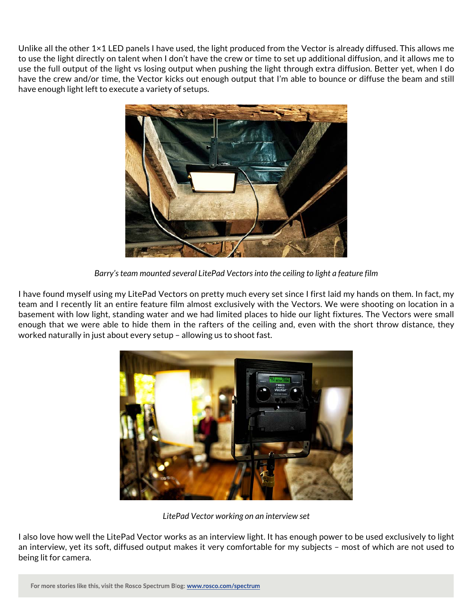Unlike all the other 1×1 LED panels I have used, the light produced from the Vector is already diffused. This allows me to use the light directly on talent when I don't have the crew or time to set up additional diffusion, and it allows me to use the full output of the light vs losing output when pushing the light through extra diffusion. Better yet, when I do have the crew and/or time, the Vector kicks out enough output that I'm able to bounce or diffuse the beam and still have enough light left to execute a variety of setups.



*Barry's team mounted several LitePad Vectors into the ceiling to light a feature film*

I have found myself using my LitePad Vectors on pretty much every set since I first laid my hands on them. In fact, my team and I recently lit an entire feature film almost exclusively with the Vectors. We were shooting on location in a basement with low light, standing water and we had limited places to hide our light fixtures. The Vectors were small enough that we were able to hide them in the rafters of the ceiling and, even with the short throw distance, they worked naturally in just about every setup – allowing us to shoot fast.



*LitePad Vector working on an interview set*

I also love how well the LitePad Vector works as an interview light. It has enough power to be used exclusively to light an interview, yet its soft, diffused output makes it very comfortable for my subjects – most of which are not used to being lit for camera.